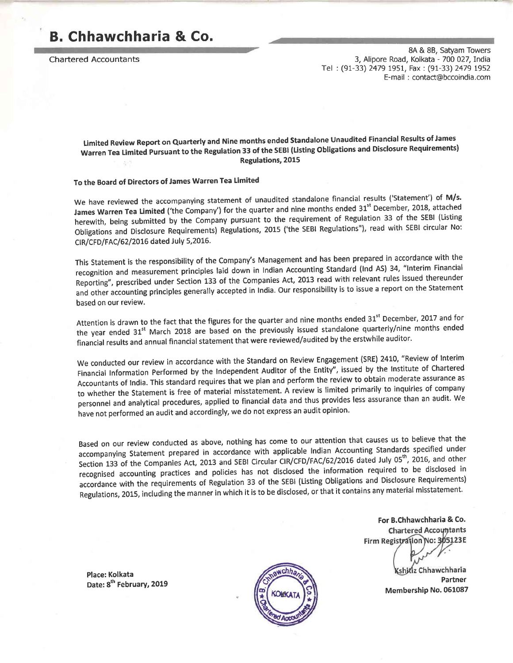## B. Chhawchharia & Co,

Chartered Accountants

8A & 88, Satyam Towers 3, Alipore Road, Kolkata - 700 027, India Tel : (91-33) 2479 1951, Fax : (91-33) 2479 1952 E-ma il : contact@bccoindia.com

Limited Review Report on Quarterly and Nine months ended Standalone Unaudited Financial Results of James minical contracts the Regulation 33 of the SEBI (Listing Obligations and Disclosure Requirements)<br>Warren Tea Limited Pursuant to the Regulation 33 of the SACE Regulations, 2015

### To the Board of Directors of James Warren Tea Limited

We have reviewed the accompanying statement of unaudited standalone financial results ('Statement') of M/s. James Warren Tea Limited ('the Company') for the quarter and nine months ended 31<sup>st</sup> December, 2018, attached herewith, being submitted by the Company pursuant to the requirement of Regulation 33 of the SEBI (Listing Obligations and Disclosure Requirements) Regulations, 2015 ('the SEBI Regulations"), read with SEBI circular No: CIR/CFD/FAC/62/2016 dated July 5,2016.

This Statement is the responsibility of the Company's Management and has been prepared in accordance with the recognition and measurement principles laid down in Indian Accounting Standard (Ind AS) 34, "Interim Financial Reporting", prescribed under Section 133 of the Companies Act, 2013 read with relevant rules issued thereunder and other accounting principles generally accepted in India. Our responsibility is to issue a report on the Statement based on our review.

Attention is drawn to the fact that the figures for the quarter and nine months ended 31<sup>st</sup> December, 2017 and for the year ended 31<sup>st</sup> March 2018 are based on the previously issued standalone quarterly/nine months ended financial results and annual financial statement that were reviewed/audited by the erstwhile auditor.

We conducted our review in accordance with the Standard on Review Engagement (SRE) 2410, "Review of Interim Financial Information performed by the Independent Auditor of the Entity", issued by the Institute of Chartered Accountants of India. This standard requires that we plan and perform the review to obtain moderate assurance as to whether the Statement is free of material misstatement. A review is limited primarily to inquiries of company personnel and analytical procedures, applied to financial data and thus provides less assurance than an audit. We have not performed an audit and accordingly, we do not express an audit opinion.

Based on our review conducted as above, nothing has come to our attention that causes us to believe that the accompanying statement prepared in accordance with applicable Indian Accounting Standards specified under Section 133 of the Companies Act, 2013 and SEBI Circular CIR/CFD/FAC/62/2016 dated July 05<sup>th</sup>, 2016, and other recognised accounting practices and policies has not disclosed the information required to be disclosed in accordance with the requirements of Regulation 33 of the SEBI (Listing Obligations and Disclosure Requirements) Regulations, 2015, including the manner in which it is to be disclosed, or that it contains any material misstatement.

> For B.Chhawchharia & Co.**Chartered Accountants** Firm Registration No: 3 65123E

> > shitiz Chhawchharia Partner<br>Membership No. 061087

Place: Kolkata Date: 8<sup>th</sup> February, 2019